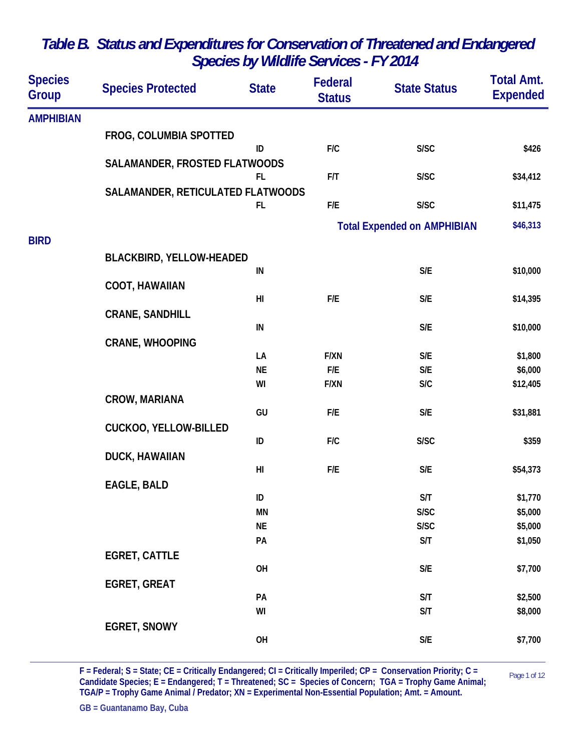| <b>Species</b><br><b>Group</b> | <b>Species Protected</b>          | <b>State</b>   | Federal<br><b>Status</b> | <b>State Status</b>                | <b>Total Amt.</b><br><b>Expended</b> |
|--------------------------------|-----------------------------------|----------------|--------------------------|------------------------------------|--------------------------------------|
| <b>AMPHIBIAN</b>               |                                   |                |                          |                                    |                                      |
|                                | FROG, COLUMBIA SPOTTED            |                |                          |                                    |                                      |
|                                |                                   | ID             | F/C                      | S/SC                               | \$426                                |
|                                | SALAMANDER, FROSTED FLATWOODS     |                |                          |                                    |                                      |
|                                |                                   | FL.            | F/T                      | S/SC                               | \$34,412                             |
|                                | SALAMANDER, RETICULATED FLATWOODS | FL.            | F/E                      | S/SC                               | \$11,475                             |
|                                |                                   |                |                          |                                    |                                      |
|                                |                                   |                |                          | <b>Total Expended on AMPHIBIAN</b> | \$46,313                             |
| <b>BIRD</b>                    |                                   |                |                          |                                    |                                      |
|                                | <b>BLACKBIRD, YELLOW-HEADED</b>   |                |                          |                                    |                                      |
|                                |                                   | IN             |                          | S/E                                | \$10,000                             |
|                                | <b>COOT, HAWAIIAN</b>             | H <sub>l</sub> | F/E                      | S/E                                | \$14,395                             |
|                                | <b>CRANE, SANDHILL</b>            |                |                          |                                    |                                      |
|                                |                                   | ${\sf IN}$     |                          | S/E                                | \$10,000                             |
|                                | <b>CRANE, WHOOPING</b>            |                |                          |                                    |                                      |
|                                |                                   | LA             | <b>F/XN</b>              | S/E                                | \$1,800                              |
|                                |                                   | <b>NE</b>      | F/E                      | S/E                                | \$6,000                              |
|                                |                                   | WI             | <b>F/XN</b>              | S/C                                | \$12,405                             |
|                                | <b>CROW, MARIANA</b>              |                |                          |                                    |                                      |
|                                |                                   | GU             | F/E                      | S/E                                | \$31,881                             |
|                                | <b>CUCKOO, YELLOW-BILLED</b>      | ID             | F/C                      | S/SC                               | \$359                                |
|                                | DUCK, HAWAIIAN                    |                |                          |                                    |                                      |
|                                |                                   | H <sub>l</sub> | F/E                      | S/E                                | \$54,373                             |
|                                | <b>EAGLE, BALD</b>                |                |                          |                                    |                                      |
|                                |                                   | ID             |                          | S/T                                | \$1,770                              |
|                                |                                   | ΜN             |                          | S/SC                               | \$5,000                              |
|                                |                                   | <b>NE</b>      |                          | S/SC                               | \$5,000                              |
|                                |                                   | PA             |                          | S/T                                | \$1,050                              |
|                                | <b>EGRET, CATTLE</b>              |                |                          |                                    |                                      |
|                                |                                   | OH             |                          | $\mathsf{S}/\mathsf{E}$            | \$7,700                              |
|                                | <b>EGRET, GREAT</b>               | PA             |                          | S/T                                | \$2,500                              |
|                                |                                   | WI             |                          | S/T                                | \$8,000                              |
|                                | <b>EGRET, SNOWY</b>               |                |                          |                                    |                                      |
|                                |                                   | OH             |                          | $\mathsf{S}/\mathsf{E}$            | \$7,700                              |
|                                |                                   |                |                          |                                    |                                      |

 $F = Federal; S = State; CE = Critically Endangered; Cl = Critically Imperially Imperially) = Constant; CO = 1.5$ **Candidate Species; E = Endangered; T = Threatened; SC = Species of Concern; TGA = Trophy Game Animal; TGA/P = Trophy Game Animal / Predator; XN = Experimental Non-Essential Population; Amt. = Amount.**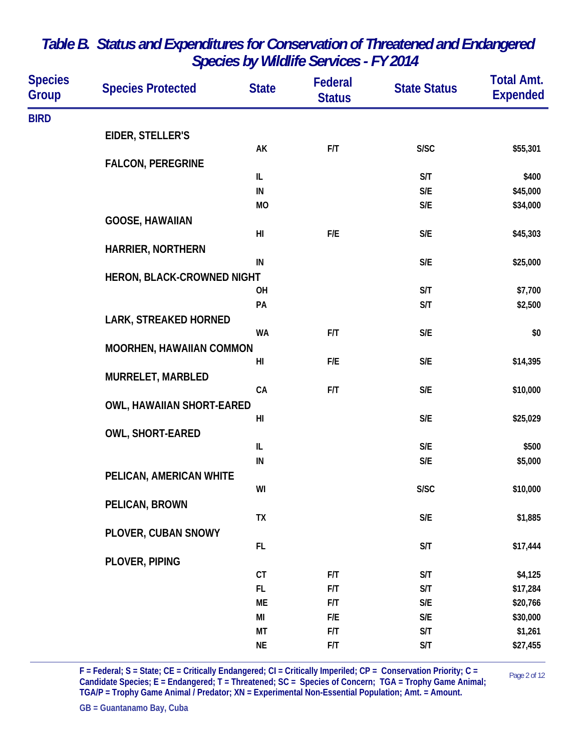| <b>Species</b><br>Group | <b>Species Protected</b>         | <b>State</b>   | Federal<br><b>Status</b> | <b>State Status</b>     | <b>Total Amt.</b><br><b>Expended</b> |
|-------------------------|----------------------------------|----------------|--------------------------|-------------------------|--------------------------------------|
| <b>BIRD</b>             |                                  |                |                          |                         |                                      |
|                         | EIDER, STELLER'S                 |                |                          |                         |                                      |
|                         |                                  | AK             | F/T                      | S/SC                    | \$55,301                             |
|                         | <b>FALCON, PEREGRINE</b>         |                |                          |                         |                                      |
|                         |                                  | IL             |                          | S/T                     | \$400                                |
|                         |                                  | ${\sf IN}$     |                          | $\mathsf{S}/\mathsf{E}$ | \$45,000                             |
|                         |                                  | MO             |                          | S/E                     | \$34,000                             |
|                         | <b>GOOSE, HAWAIIAN</b>           |                |                          |                         |                                      |
|                         |                                  | H <sub>l</sub> | F/E                      | $\mathsf{S}/\mathsf{E}$ | \$45,303                             |
|                         | <b>HARRIER, NORTHERN</b>         |                |                          |                         |                                      |
|                         |                                  | IN             |                          | $\mathsf{S}/\mathsf{E}$ | \$25,000                             |
|                         | HERON, BLACK-CROWNED NIGHT       |                |                          |                         |                                      |
|                         |                                  | OH             |                          | S/T                     | \$7,700                              |
|                         |                                  | PA             |                          | S/T                     | \$2,500                              |
|                         | <b>LARK, STREAKED HORNED</b>     |                |                          |                         |                                      |
|                         |                                  | <b>WA</b>      | F/T                      | $\mathsf{S}/\mathsf{E}$ | \$0                                  |
|                         | <b>MOORHEN, HAWAIIAN COMMON</b>  | H <sub>l</sub> | F/E                      | $\mathsf{S}/\mathsf{E}$ | \$14,395                             |
|                         |                                  |                |                          |                         |                                      |
|                         | MURRELET, MARBLED                | CA             | F/T                      | $\mathsf{S}/\mathsf{E}$ | \$10,000                             |
|                         | <b>OWL, HAWAIIAN SHORT-EARED</b> |                |                          |                         |                                      |
|                         |                                  | H <sub>l</sub> |                          | $\mathsf{S}/\mathsf{E}$ | \$25,029                             |
|                         | <b>OWL, SHORT-EARED</b>          |                |                          |                         |                                      |
|                         |                                  | IL             |                          | S/E                     | \$500                                |
|                         |                                  | IN             |                          | S/E                     | \$5,000                              |
|                         | PELICAN, AMERICAN WHITE          |                |                          |                         |                                      |
|                         |                                  | WI             |                          | S/SC                    | \$10,000                             |
|                         | PELICAN, BROWN                   |                |                          |                         |                                      |
|                         |                                  | TX             |                          | $\mathsf{S}/\mathsf{E}$ | \$1,885                              |
|                         | PLOVER, CUBAN SNOWY              |                |                          |                         |                                      |
|                         |                                  | FL             |                          | S/T                     | \$17,444                             |
|                         | PLOVER, PIPING                   |                |                          |                         |                                      |
|                         |                                  | CT             | F/T                      | S/T                     | \$4,125                              |
|                         |                                  | FL.            | F/T                      | S/T                     | \$17,284                             |
|                         |                                  | ME             | F/T                      | $\mathsf{S}/\mathsf{E}$ | \$20,766                             |
|                         |                                  | MI             | F/E                      | $\mathsf{S}/\mathsf{E}$ | \$30,000                             |
|                         |                                  | МT             | F/T                      | S/T                     | \$1,261                              |
|                         |                                  | $\sf NE$       | F/T                      | S/T                     | \$27,455                             |

 $F = Federal; S = State; CE = Critically Endangered; CI = Critically Imperially Imperially) = Constant; CF = 0.022223$ **Candidate Species; E = Endangered; T = Threatened; SC = Species of Concern; TGA = Trophy Game Animal; TGA/P = Trophy Game Animal / Predator; XN = Experimental Non-Essential Population; Amt. = Amount.**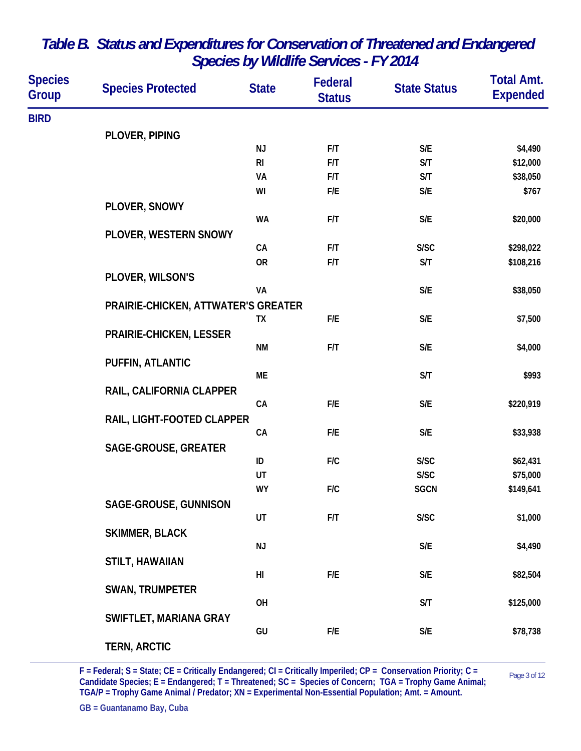| <b>Species</b><br>Group | <b>Species Protected</b>            | <b>State</b>   | Federal<br><b>Status</b> | <b>State Status</b>     | <b>Total Amt.</b><br><b>Expended</b> |
|-------------------------|-------------------------------------|----------------|--------------------------|-------------------------|--------------------------------------|
| <b>BIRD</b>             |                                     |                |                          |                         |                                      |
|                         | PLOVER, PIPING                      |                |                          |                         |                                      |
|                         |                                     | <b>NJ</b>      | F/T                      | S/E                     | \$4,490                              |
|                         |                                     | R <sub>l</sub> | F/T                      | S/T                     | \$12,000                             |
|                         |                                     | VA             | F/T                      | S/T                     | \$38,050                             |
|                         |                                     | WI             | ${\sf F/E}$              | S/E                     | \$767                                |
|                         | PLOVER, SNOWY                       |                |                          |                         |                                      |
|                         |                                     | <b>WA</b>      | F/T                      | S/E                     | \$20,000                             |
|                         | PLOVER, WESTERN SNOWY               |                |                          |                         |                                      |
|                         |                                     | CA             | F/T                      | S/SC                    | \$298,022                            |
|                         |                                     | <b>OR</b>      | F/T                      | S/T                     | \$108,216                            |
|                         | PLOVER, WILSON'S                    |                |                          |                         |                                      |
|                         |                                     | VA             |                          | $\mathsf{S}/\mathsf{E}$ | \$38,050                             |
|                         | PRAIRIE-CHICKEN, ATTWATER'S GREATER |                |                          |                         |                                      |
|                         |                                     | TX             | F/E                      | S/E                     | \$7,500                              |
|                         | <b>PRAIRIE-CHICKEN, LESSER</b>      |                |                          |                         |                                      |
|                         |                                     | <b>NM</b>      | F/T                      | S/E                     | \$4,000                              |
|                         | PUFFIN, ATLANTIC                    |                |                          |                         |                                      |
|                         |                                     | ME             |                          | S/T                     | \$993                                |
|                         | RAIL, CALIFORNIA CLAPPER            |                |                          |                         |                                      |
|                         |                                     | CA             | F/E                      | S/E                     | \$220,919                            |
|                         | RAIL, LIGHT-FOOTED CLAPPER          |                |                          |                         |                                      |
|                         |                                     | CA             | F/E                      | S/E                     | \$33,938                             |
|                         | <b>SAGE-GROUSE, GREATER</b>         | ID             | F/C                      | S/SC                    | \$62,431                             |
|                         |                                     | UT             |                          | S/SC                    | \$75,000                             |
|                         |                                     | <b>WY</b>      | F/C                      | <b>SGCN</b>             | \$149,641                            |
|                         |                                     |                |                          |                         |                                      |
|                         | SAGE-GROUSE, GUNNISON               | UT             | F/T                      | S/SC                    | \$1,000                              |
|                         | <b>SKIMMER, BLACK</b>               |                |                          |                         |                                      |
|                         |                                     | NJ             |                          | S/E                     | \$4,490                              |
|                         | <b>STILT, HAWAIIAN</b>              |                |                          |                         |                                      |
|                         |                                     | H <sub>l</sub> | F/E                      | S/E                     | \$82,504                             |
|                         | <b>SWAN, TRUMPETER</b>              |                |                          |                         |                                      |
|                         |                                     | OH             |                          | S/T                     | \$125,000                            |
|                         | SWIFTLET, MARIANA GRAY              |                |                          |                         |                                      |
|                         |                                     | GU             | F/E                      | S/E                     | \$78,738                             |
|                         | <b>TERN, ARCTIC</b>                 |                |                          |                         |                                      |
|                         |                                     |                |                          |                         |                                      |

 $F =$  Federal;  $S =$  State;  $CE =$  Critically Endangered;  $CI =$  Critically Imperiled;  $CP =$  Conservation Priority;  $C =$  Page 3 of 12 **Candidate Species; E = Endangered; T = Threatened; SC = Species of Concern; TGA = Trophy Game Animal; TGA/P = Trophy Game Animal / Predator; XN = Experimental Non-Essential Population; Amt. = Amount.**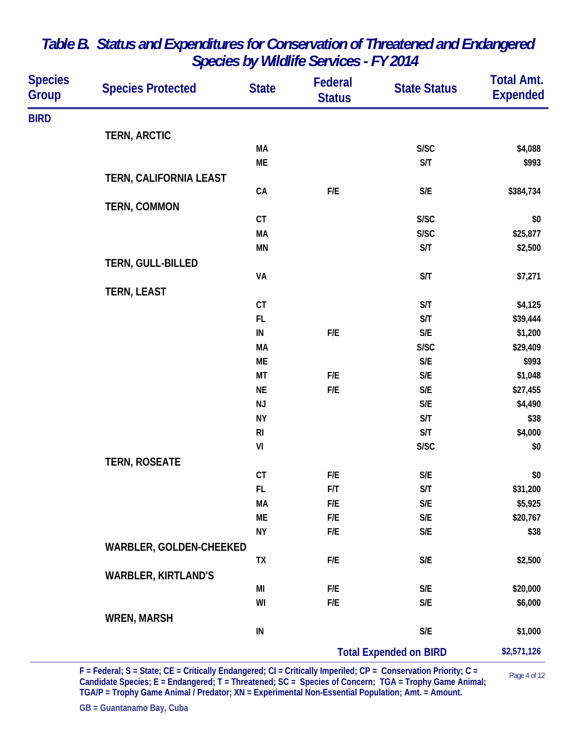| <b>Species</b><br><b>Group</b> | <b>Species Protected</b>   | <b>State</b>   | Federal<br><b>Status</b> | <b>State Status</b>           | <b>Total Amt.</b><br><b>Expended</b> |
|--------------------------------|----------------------------|----------------|--------------------------|-------------------------------|--------------------------------------|
| <b>BIRD</b>                    |                            |                |                          |                               |                                      |
|                                | <b>TERN, ARCTIC</b>        |                |                          |                               |                                      |
|                                |                            | MA             |                          | S/SC                          | \$4,088                              |
|                                |                            | ME             |                          | S/T                           | \$993                                |
|                                | TERN, CALIFORNIA LEAST     |                |                          |                               |                                      |
|                                |                            | CA             | F/E                      | S/E                           | \$384,734                            |
|                                | <b>TERN, COMMON</b>        |                |                          |                               |                                      |
|                                |                            | CT             |                          | S/SC                          | \$0                                  |
|                                |                            | <b>MA</b>      |                          | S/SC                          | \$25,877                             |
|                                |                            | MN             |                          | S/T                           | \$2,500                              |
|                                | TERN, GULL-BILLED          |                |                          |                               |                                      |
|                                |                            | VA             |                          | S/T                           | \$7,271                              |
|                                | <b>TERN, LEAST</b>         |                |                          |                               |                                      |
|                                |                            | CT             |                          | S/T                           | \$4,125                              |
|                                |                            | FL             |                          | S/T                           | \$39,444                             |
|                                |                            | ${\sf IN}$     | F/E                      | $\mathsf{S}/\mathsf{E}$       | \$1,200                              |
|                                |                            | <b>MA</b>      |                          | S/SC                          | \$29,409                             |
|                                |                            | ME             |                          | $\mathsf{S}/\mathsf{E}$       | \$993                                |
|                                |                            | MT             | F/E                      | S/E                           | \$1,048                              |
|                                |                            | <b>NE</b>      | ${\sf F/E}$              | S/E                           | \$27,455                             |
|                                |                            | NJ             |                          | $\mathsf{S}/\mathsf{E}$       | \$4,490                              |
|                                |                            | <b>NY</b>      |                          | S/T                           | \$38                                 |
|                                |                            | R <sub>l</sub> |                          | S/T                           | \$4,000                              |
|                                |                            | VI             |                          | S/SC                          | \$0                                  |
|                                | <b>TERN, ROSEATE</b>       |                |                          |                               |                                      |
|                                |                            | $C$ T          | F/E                      | $\mathsf{S}/\mathsf{E}$       | \$0                                  |
|                                |                            | FL             | F/T                      | S/T                           | \$31,200                             |
|                                |                            | МA             | F/E                      | S/E                           | \$5,925                              |
|                                |                            | ME             | F/E                      | S/E                           | \$20,767                             |
|                                |                            | <b>NY</b>      | F/E                      | S/E                           | \$38                                 |
|                                | WARBLER, GOLDEN-CHEEKED    |                |                          |                               |                                      |
|                                |                            | TX             | F/E                      | S/E                           | \$2,500                              |
|                                | <b>WARBLER, KIRTLAND'S</b> |                |                          |                               |                                      |
|                                |                            | MI             | F/E                      | S/E                           | \$20,000                             |
|                                |                            | WI             | F/E                      | S/E                           | \$6,000                              |
|                                | <b>WREN, MARSH</b>         |                |                          |                               |                                      |
|                                |                            | ${\sf IN}$     |                          | $\mathsf{S}/\mathsf{E}$       | \$1,000                              |
|                                |                            |                |                          | <b>Total Expended on BIRD</b> | \$2,571,126                          |

 $F =$  Federal;  $S =$  State;  $CE =$  Critically Endangered;  $CI =$  Critically Imperiled;  $CP =$  Conservation Priority;  $C =$  Page 4 of 12 **Candidate Species; E = Endangered; T = Threatened; SC = Species of Concern; TGA = Trophy Game Animal; TGA/P = Trophy Game Animal / Predator; XN = Experimental Non-Essential Population; Amt. = Amount.**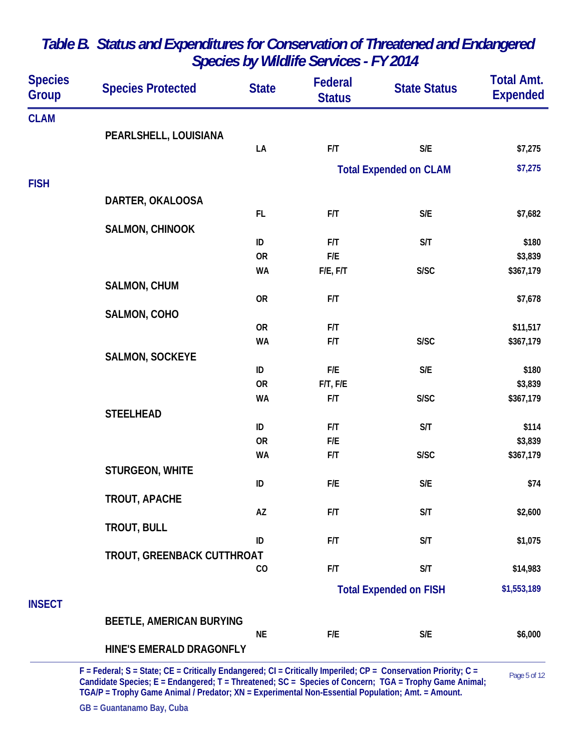| <b>Species</b><br><b>Group</b> | <b>Species Protected</b>        | <b>State</b> | Federal<br><b>Status</b> | <b>State Status</b>           | <b>Total Amt.</b><br><b>Expended</b> |
|--------------------------------|---------------------------------|--------------|--------------------------|-------------------------------|--------------------------------------|
| <b>CLAM</b>                    |                                 |              |                          |                               |                                      |
|                                | PEARLSHELL, LOUISIANA           |              |                          |                               |                                      |
|                                |                                 | LA           | F/T                      | $\mathsf{S}/\mathsf{E}$       | \$7,275                              |
|                                |                                 |              |                          | <b>Total Expended on CLAM</b> | \$7,275                              |
| <b>FISH</b>                    |                                 |              |                          |                               |                                      |
|                                | DARTER, OKALOOSA                |              |                          |                               |                                      |
|                                |                                 | FL           | F/T                      | $\mathsf{S}/\mathsf{E}$       | \$7,682                              |
|                                | SALMON, CHINOOK                 |              |                          |                               |                                      |
|                                |                                 | ID           | F/T                      | S/T                           | \$180                                |
|                                |                                 | <b>OR</b>    | F/E                      |                               | \$3,839                              |
|                                |                                 | <b>WA</b>    | F/E, F/T                 | S/SC                          | \$367,179                            |
|                                | <b>SALMON, CHUM</b>             |              |                          |                               |                                      |
|                                |                                 | <b>OR</b>    | F/T                      |                               | \$7,678                              |
|                                | SALMON, COHO                    | <b>OR</b>    | F/T                      |                               | \$11,517                             |
|                                |                                 | <b>WA</b>    | F/T                      | S/SC                          | \$367,179                            |
|                                | <b>SALMON, SOCKEYE</b>          |              |                          |                               |                                      |
|                                |                                 | ID           | F/E                      | $\mathsf{S}/\mathsf{E}$       | \$180                                |
|                                |                                 | <b>OR</b>    | $F/T$ , $F/E$            |                               | \$3,839                              |
|                                |                                 | <b>WA</b>    | F/T                      | S/SC                          | \$367,179                            |
|                                | <b>STEELHEAD</b>                |              |                          |                               |                                      |
|                                |                                 | ID           | F/T                      | S/T                           | \$114                                |
|                                |                                 | <b>OR</b>    | F/E                      |                               | \$3,839                              |
|                                |                                 | <b>WA</b>    | F/T                      | S/SC                          | \$367,179                            |
|                                | STURGEON, WHITE                 | ID           | F/E                      | $\mathsf{S}/\mathsf{E}$       |                                      |
|                                |                                 |              |                          |                               | \$74                                 |
|                                | <b>TROUT, APACHE</b>            | AZ           | F/T                      | S/T                           | \$2,600                              |
|                                | <b>TROUT, BULL</b>              |              |                          |                               |                                      |
|                                |                                 | ID           | F/T                      | S/T                           | \$1,075                              |
|                                | TROUT, GREENBACK CUTTHROAT      |              |                          |                               |                                      |
|                                |                                 | CO           | F/T                      | S/T                           | \$14,983                             |
|                                |                                 |              |                          | <b>Total Expended on FISH</b> | \$1,553,189                          |
| <b>INSECT</b>                  |                                 |              |                          |                               |                                      |
|                                | <b>BEETLE, AMERICAN BURYING</b> |              |                          |                               |                                      |
|                                |                                 | <b>NE</b>    | F/E                      | S/E                           | \$6,000                              |
|                                | HINE'S EMERALD DRAGONFLY        |              |                          |                               |                                      |

Page 5 of 12 **F = Federal; S = State; CE = Critically Endangered; CI = Critically Imperiled; CP = Conservation Priority; C = Candidate Species; E = Endangered; T = Threatened; SC = Species of Concern; TGA = Trophy Game Animal; TGA/P = Trophy Game Animal / Predator; XN = Experimental Non-Essential Population; Amt. = Amount.**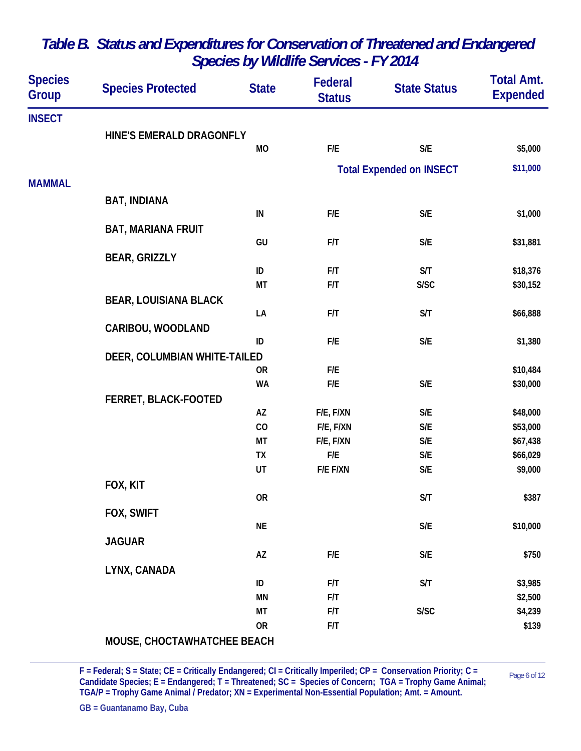| <b>Species</b><br><b>Group</b> | <b>Species Protected</b>     | <b>State</b> | Federal<br><b>Status</b> | <b>State Status</b>             | <b>Total Amt.</b><br><b>Expended</b> |
|--------------------------------|------------------------------|--------------|--------------------------|---------------------------------|--------------------------------------|
| <b>INSECT</b>                  |                              |              |                          |                                 |                                      |
|                                | HINE'S EMERALD DRAGONFLY     |              |                          |                                 |                                      |
|                                |                              | <b>MO</b>    | F/E                      | S/E                             | \$5,000                              |
|                                |                              |              |                          | <b>Total Expended on INSECT</b> | \$11,000                             |
| <b>MAMMAL</b>                  |                              |              |                          |                                 |                                      |
|                                | <b>BAT, INDIANA</b>          |              |                          |                                 |                                      |
|                                |                              | ${\sf IN}$   | F/E                      | S/E                             | \$1,000                              |
|                                | <b>BAT, MARIANA FRUIT</b>    |              |                          |                                 |                                      |
|                                |                              | GU           | F/T                      | S/E                             | \$31,881                             |
|                                | <b>BEAR, GRIZZLY</b>         |              |                          |                                 |                                      |
|                                |                              | ID           | F/T                      | S/T                             | \$18,376                             |
|                                |                              | <b>MT</b>    | F/T                      | S/SC                            | \$30,152                             |
|                                | <b>BEAR, LOUISIANA BLACK</b> |              |                          |                                 |                                      |
|                                |                              | LA           | F/T                      | S/T                             | \$66,888                             |
|                                | CARIBOU, WOODLAND            |              |                          |                                 |                                      |
|                                |                              | ID           | F/E                      | S/E                             | \$1,380                              |
|                                | DEER, COLUMBIAN WHITE-TAILED |              |                          |                                 |                                      |
|                                |                              | <b>OR</b>    | F/E                      |                                 | \$10,484                             |
|                                |                              | <b>WA</b>    | F/E                      | S/E                             | \$30,000                             |
|                                | FERRET, BLACK-FOOTED         | AZ           | F/E, F/XN                | S/E                             | \$48,000                             |
|                                |                              | CO           | F/E, F/XN                | $\mathsf{S}/\mathsf{E}$         | \$53,000                             |
|                                |                              | MT           | F/E, F/XN                | S/E                             | \$67,438                             |
|                                |                              | <b>TX</b>    | F/E                      | S/E                             | \$66,029                             |
|                                |                              | UT           | F/E F/XN                 | S/E                             | \$9,000                              |
|                                | FOX, KIT                     |              |                          |                                 |                                      |
|                                |                              | <b>OR</b>    |                          | S/T                             | \$387                                |
|                                | FOX, SWIFT                   |              |                          |                                 |                                      |
|                                |                              | <b>NE</b>    |                          | $\mathsf{S}/\mathsf{E}$         | \$10,000                             |
|                                | <b>JAGUAR</b>                |              |                          |                                 |                                      |
|                                |                              | AZ           | ${\sf F/E}$              | $\mathsf{S}/\mathsf{E}$         | \$750                                |
|                                | LYNX, CANADA                 |              |                          |                                 |                                      |
|                                |                              | ID           | F/T                      | S/T                             | \$3,985                              |
|                                |                              | <b>MN</b>    | F/T                      |                                 | \$2,500                              |
|                                |                              | <b>MT</b>    | F/T                      | S/SC                            | \$4,239                              |
|                                |                              | <b>OR</b>    | F/T                      |                                 | \$139                                |
|                                | MOUSE, CHOCTAWHATCHEE BEACH  |              |                          |                                 |                                      |

 $F = Federal; S = State; CE = Critically Endanged; CI = Critically Imperially Imperially) = Constant; CF = 0.022$ **Candidate Species; E = Endangered; T = Threatened; SC = Species of Concern; TGA = Trophy Game Animal; TGA/P = Trophy Game Animal / Predator; XN = Experimental Non-Essential Population; Amt. = Amount.**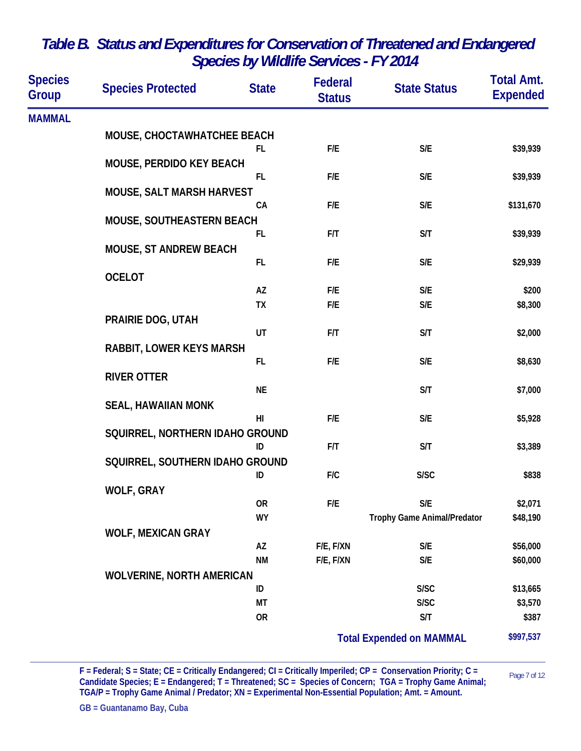| <b>Species</b><br>Group | <b>Species Protected</b>         | <b>State</b>   | Federal<br><b>Status</b> | <b>State Status</b>                | <b>Total Amt.</b><br><b>Expended</b> |
|-------------------------|----------------------------------|----------------|--------------------------|------------------------------------|--------------------------------------|
| <b>MAMMAL</b>           |                                  |                |                          |                                    |                                      |
|                         | MOUSE, CHOCTAWHATCHEE BEACH      |                |                          |                                    |                                      |
|                         |                                  | FL.            | F/E                      | $\mathsf{S}/\mathsf{E}$            | \$39,939                             |
|                         | MOUSE, PERDIDO KEY BEACH         |                |                          |                                    |                                      |
|                         |                                  | FL.            | F/E                      | $\mathsf{S}/\mathsf{E}$            | \$39,939                             |
|                         | <b>MOUSE, SALT MARSH HARVEST</b> | CA             | F/E                      | $\mathsf{S}/\mathsf{E}$            | \$131,670                            |
|                         | MOUSE, SOUTHEASTERN BEACH        |                |                          |                                    |                                      |
|                         |                                  | FL.            | F/T                      | S/T                                | \$39,939                             |
|                         | <b>MOUSE, ST ANDREW BEACH</b>    |                |                          |                                    |                                      |
|                         |                                  | FL.            | F/E                      | $\mathsf{S}/\mathsf{E}$            | \$29,939                             |
|                         | <b>OCELOT</b>                    |                |                          |                                    |                                      |
|                         |                                  | AZ             | F/E                      | S/E                                | \$200                                |
|                         |                                  | <b>TX</b>      | F/E                      | $\mathsf{S}/\mathsf{E}$            | \$8,300                              |
|                         | PRAIRIE DOG, UTAH                | UT             | F/T                      | S/T                                | \$2,000                              |
|                         | <b>RABBIT, LOWER KEYS MARSH</b>  |                |                          |                                    |                                      |
|                         |                                  | FL.            | F/E                      | $\mathsf{S}/\mathsf{E}$            | \$8,630                              |
|                         | <b>RIVER OTTER</b>               |                |                          |                                    |                                      |
|                         |                                  | <b>NE</b>      |                          | S/T                                | \$7,000                              |
|                         | <b>SEAL, HAWAIIAN MONK</b>       |                |                          |                                    |                                      |
|                         |                                  | H <sub>l</sub> | F/E                      | $\mathsf{S}/\mathsf{E}$            | \$5,928                              |
|                         | SQUIRREL, NORTHERN IDAHO GROUND  |                |                          |                                    |                                      |
|                         |                                  | ID             | F/T                      | S/T                                | \$3,389                              |
|                         | SQUIRREL, SOUTHERN IDAHO GROUND  | ID             | F/C                      | S/SC                               | \$838                                |
|                         | <b>WOLF, GRAY</b>                |                |                          |                                    |                                      |
|                         |                                  | 0R             | F/E                      | S/E                                | \$2,071                              |
|                         |                                  | <b>WY</b>      |                          | <b>Trophy Game Animal/Predator</b> | \$48,190                             |
|                         | <b>WOLF, MEXICAN GRAY</b>        |                |                          |                                    |                                      |
|                         |                                  | AZ             | F/E, F/XN                | $\mathsf{S}/\mathsf{E}$            | \$56,000                             |
|                         |                                  | <b>NM</b>      | F/E, F/XN                | $\mathsf{S}/\mathsf{E}$            | \$60,000                             |
|                         | <b>WOLVERINE, NORTH AMERICAN</b> |                |                          |                                    |                                      |
|                         |                                  | ID             |                          | S/SC                               | \$13,665                             |
|                         |                                  | МT             |                          | S/SC                               | \$3,570                              |
|                         |                                  | <b>OR</b>      |                          | S/T                                | \$387                                |
|                         |                                  |                |                          | <b>Total Expended on MAMMAL</b>    | \$997,537                            |

 $F = Federal; S = State; CE = Critically Endangered; Cl = Critically Imperially Imperially) = Constant; CO = 1.24$ **Candidate Species; E = Endangered; T = Threatened; SC = Species of Concern; TGA = Trophy Game Animal; TGA/P = Trophy Game Animal / Predator; XN = Experimental Non-Essential Population; Amt. = Amount.**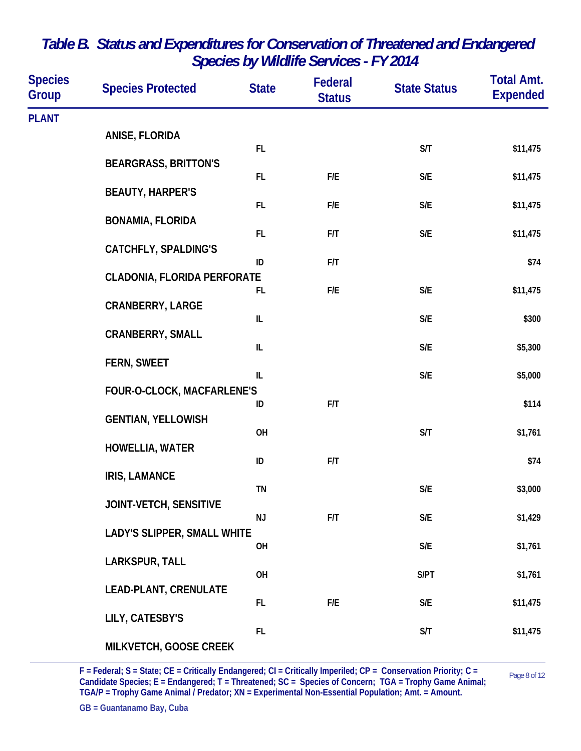| <b>Species</b><br>Group | <b>Species Protected</b>           | <b>State</b>                      | Federal<br><b>Status</b> | <b>State Status</b>     | <b>Total Amt.</b><br><b>Expended</b> |
|-------------------------|------------------------------------|-----------------------------------|--------------------------|-------------------------|--------------------------------------|
| <b>PLANT</b>            |                                    |                                   |                          |                         |                                      |
|                         | ANISE, FLORIDA                     |                                   |                          |                         |                                      |
|                         | <b>BEARGRASS, BRITTON'S</b>        | FL.                               |                          | S/T                     | \$11,475                             |
|                         |                                    | FL.                               | F/E                      | S/E                     | \$11,475                             |
|                         | <b>BEAUTY, HARPER'S</b>            | FL.                               | F/E                      | S/E                     | \$11,475                             |
|                         | <b>BONAMIA, FLORIDA</b>            |                                   |                          |                         |                                      |
|                         | <b>CATCHFLY, SPALDING'S</b>        | FL.                               | F/T                      | S/E                     | \$11,475                             |
|                         |                                    | ID                                | F/T                      |                         | \$74                                 |
|                         | <b>CLADONIA, FLORIDA PERFORATE</b> | FL.                               | F/E                      | S/E                     | \$11,475                             |
|                         | <b>CRANBERRY, LARGE</b>            |                                   |                          |                         |                                      |
|                         |                                    | IL                                |                          | $\mathsf{S}/\mathsf{E}$ | \$300                                |
|                         | <b>CRANBERRY, SMALL</b>            | $\ensuremath{\mathsf{IL}}\xspace$ |                          | $\mathsf{S}/\mathsf{E}$ | \$5,300                              |
|                         | FERN, SWEET                        |                                   |                          |                         |                                      |
|                         | FOUR-O-CLOCK, MACFARLENE'S         | IL                                |                          | $\mathsf{S}/\mathsf{E}$ | \$5,000                              |
|                         |                                    | ID                                | F/T                      |                         | \$114                                |
|                         | <b>GENTIAN, YELLOWISH</b>          | OH                                |                          | S/T                     | \$1,761                              |
|                         | <b>HOWELLIA, WATER</b>             |                                   |                          |                         |                                      |
|                         | <b>IRIS, LAMANCE</b>               | ID                                | F/T                      |                         | \$74                                 |
|                         |                                    | TN                                |                          | S/E                     | \$3,000                              |
|                         | JOINT-VETCH, SENSITIVE             | <b>NJ</b>                         | F/T                      | S/E                     | \$1,429                              |
|                         | <b>LADY'S SLIPPER, SMALL WHITE</b> |                                   |                          |                         |                                      |
|                         |                                    | OH                                |                          | S/E                     | \$1,761                              |
|                         | LARKSPUR, TALL                     | OH                                |                          | S/PT                    | \$1,761                              |
|                         | <b>LEAD-PLANT, CRENULATE</b>       |                                   |                          |                         |                                      |
|                         | LILY, CATESBY'S                    | FL.                               | F/E                      | S/E                     | \$11,475                             |
|                         |                                    | FL.                               |                          | S/T                     | \$11,475                             |
|                         | MILKVETCH, GOOSE CREEK             |                                   |                          |                         |                                      |

 $F = Federal; S = State; CE = Critically Endangered; Cl = Critically Imperially Imperially) = Constant; CO = 1.5$ **Candidate Species; E = Endangered; T = Threatened; SC = Species of Concern; TGA = Trophy Game Animal; TGA/P = Trophy Game Animal / Predator; XN = Experimental Non-Essential Population; Amt. = Amount.**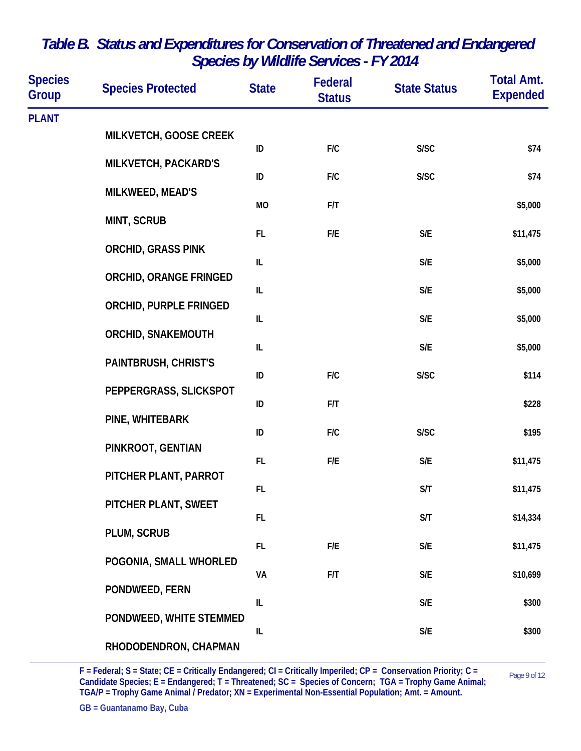| <b>Species</b><br>Group | <b>Species Protected</b>      | <b>State</b>                      | Federal<br><b>Status</b> | <b>State Status</b>     | <b>Total Amt.</b><br><b>Expended</b> |
|-------------------------|-------------------------------|-----------------------------------|--------------------------|-------------------------|--------------------------------------|
| <b>PLANT</b>            |                               |                                   |                          |                         |                                      |
|                         | MILKVETCH, GOOSE CREEK        | ID                                | F/C                      | S/SC                    | \$74                                 |
|                         | <b>MILKVETCH, PACKARD'S</b>   |                                   |                          |                         |                                      |
|                         | MILKWEED, MEAD'S              | ID                                | F/C                      | S/SC                    | \$74                                 |
|                         | <b>MINT, SCRUB</b>            | MO                                | F/T                      |                         | \$5,000                              |
|                         |                               | FL.                               | F/E                      | S/E                     | \$11,475                             |
|                         | <b>ORCHID, GRASS PINK</b>     | IL                                |                          | S/E                     | \$5,000                              |
|                         | <b>ORCHID, ORANGE FRINGED</b> | $\ensuremath{\mathsf{IL}}\xspace$ |                          | S/E                     | \$5,000                              |
|                         | <b>ORCHID, PURPLE FRINGED</b> |                                   |                          |                         |                                      |
| PAINTBRUSH, CHRIST'S    | <b>ORCHID, SNAKEMOUTH</b>     | IL                                |                          | S/E                     | \$5,000                              |
|                         |                               | IL                                |                          | $\mathsf{S}/\mathsf{E}$ | \$5,000                              |
|                         |                               | ID                                | F/C                      | S/SC                    | \$114                                |
|                         | PEPPERGRASS, SLICKSPOT        | ID                                | F/T                      |                         | \$228                                |
|                         | PINE, WHITEBARK               | ID                                | F/C                      | S/SC                    | \$195                                |
|                         | PINKROOT, GENTIAN             |                                   |                          |                         |                                      |
|                         | PITCHER PLANT, PARROT         | FL                                | F/E                      | S/E                     | \$11,475                             |
|                         | PITCHER PLANT, SWEET          | FL.                               |                          | S/T                     | \$11,475                             |
|                         |                               | <b>FL</b>                         |                          | S/T                     | \$14,334                             |
|                         | PLUM, SCRUB                   | FL.                               | F/E                      | $\mathsf{S}/\mathsf{E}$ | \$11,475                             |
|                         | POGONIA, SMALL WHORLED        | VA                                | F/T                      | $\mathsf{S}/\mathsf{E}$ | \$10,699                             |
|                         | PONDWEED, FERN                |                                   |                          |                         |                                      |
|                         | PONDWEED, WHITE STEMMED       | IL                                |                          | $\mathsf{S}/\mathsf{E}$ | \$300                                |
|                         |                               | IL                                |                          | $\mathsf{S}/\mathsf{E}$ | \$300                                |
|                         | RHODODENDRON, CHAPMAN         |                                   |                          |                         |                                      |

Page 9 of 12 **F = Federal; S = State; CE = Critically Endangered; CI = Critically Imperiled; CP = Conservation Priority; C = Candidate Species; E = Endangered; T = Threatened; SC = Species of Concern; TGA = Trophy Game Animal; TGA/P = Trophy Game Animal / Predator; XN = Experimental Non-Essential Population; Amt. = Amount.** 

L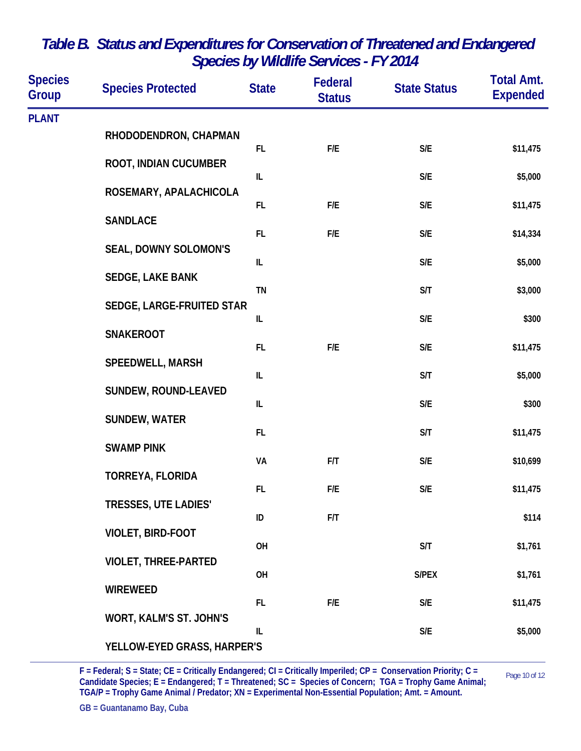| <b>Species</b><br><b>Group</b> | <b>Species Protected</b>       | <b>State</b> | <b>Federal</b><br><b>Status</b> | <b>State Status</b>     | <b>Total Amt.</b><br><b>Expended</b> |
|--------------------------------|--------------------------------|--------------|---------------------------------|-------------------------|--------------------------------------|
| <b>PLANT</b>                   |                                |              |                                 |                         |                                      |
|                                | RHODODENDRON, CHAPMAN          | FL.          | F/E                             | S/E                     | \$11,475                             |
|                                | ROOT, INDIAN CUCUMBER          |              |                                 |                         |                                      |
|                                |                                | $\sf IL$     |                                 | $\mathsf{S}/\mathsf{E}$ | \$5,000                              |
|                                | ROSEMARY, APALACHICOLA         | FL           | F/E                             | S/E                     | \$11,475                             |
|                                | <b>SANDLACE</b>                | FL           | F/E                             | S/E                     | \$14,334                             |
|                                | <b>SEAL, DOWNY SOLOMON'S</b>   |              |                                 |                         |                                      |
|                                | SEDGE, LAKE BANK               | IL           |                                 | S/E                     | \$5,000                              |
|                                |                                | <b>TN</b>    |                                 | S/T                     | \$3,000                              |
| <b>SNAKEROOT</b>               | SEDGE, LARGE-FRUITED STAR      | IL           |                                 | S/E                     | \$300                                |
|                                |                                |              |                                 |                         |                                      |
|                                | <b>SPEEDWELL, MARSH</b>        | FL           | F/E                             | S/E                     | \$11,475                             |
|                                |                                | IL           |                                 | S/T                     | \$5,000                              |
|                                | SUNDEW, ROUND-LEAVED           | $\sf IL$     |                                 | S/E                     | \$300                                |
|                                | <b>SUNDEW, WATER</b>           |              |                                 |                         |                                      |
|                                | <b>SWAMP PINK</b>              | FL.          |                                 | S/T                     | \$11,475                             |
|                                |                                | VA           | F/T                             | $\mathsf{S}/\mathsf{E}$ | \$10,699                             |
|                                | TORREYA, FLORIDA               | FL           | F/E                             | S/E                     | \$11,475                             |
|                                | <b>TRESSES, UTE LADIES'</b>    |              |                                 |                         |                                      |
|                                | VIOLET, BIRD-FOOT              | ID           | F/T                             |                         | \$114                                |
|                                |                                | OH           |                                 | S/T                     | \$1,761                              |
|                                | <b>VIOLET, THREE-PARTED</b>    | OH           |                                 | S/PEX                   | \$1,761                              |
|                                | <b>WIREWEED</b>                |              |                                 |                         |                                      |
|                                | <b>WORT, KALM'S ST. JOHN'S</b> | FL.          | F/E                             | $\mathsf{S}/\mathsf{E}$ | \$11,475                             |
|                                |                                | IL           |                                 | $\mathsf{S}/\mathsf{E}$ | \$5,000                              |
|                                | YELLOW-EYED GRASS, HARPER'S    |              |                                 |                         |                                      |

 $F = Federal; S = State; CE = Critically Endangered; C = Critically Imperially Imperially) = Constant; C = 0.002$ **Candidate Species; E = Endangered; T = Threatened; SC = Species of Concern; TGA = Trophy Game Animal; TGA/P = Trophy Game Animal / Predator; XN = Experimental Non-Essential Population; Amt. = Amount.**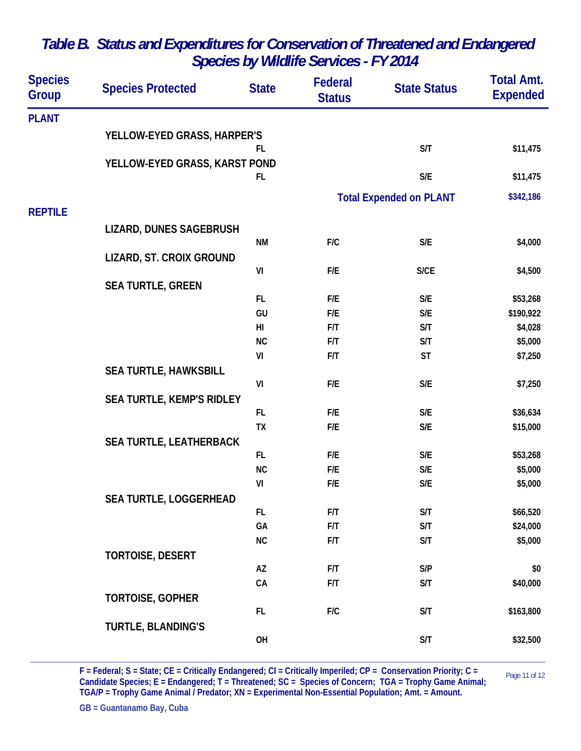| <b>Species</b><br>Group | <b>Species Protected</b>         | <b>State</b>   | Federal<br><b>Status</b> | <b>State Status</b>            | <b>Total Amt.</b><br><b>Expended</b> |
|-------------------------|----------------------------------|----------------|--------------------------|--------------------------------|--------------------------------------|
| <b>PLANT</b>            |                                  |                |                          |                                |                                      |
|                         | YELLOW-EYED GRASS, HARPER'S      |                |                          |                                |                                      |
|                         |                                  | FL             |                          | S/T                            | \$11,475                             |
|                         | YELLOW-EYED GRASS, KARST POND    | FL.            |                          | $\mathsf{S}/\mathsf{E}$        |                                      |
|                         |                                  |                |                          |                                | \$11,475                             |
|                         |                                  |                |                          | <b>Total Expended on PLANT</b> | \$342,186                            |
| <b>REPTILE</b>          |                                  |                |                          |                                |                                      |
|                         | LIZARD, DUNES SAGEBRUSH          |                |                          |                                |                                      |
|                         |                                  | <b>NM</b>      | F/C                      | $\mathsf{S}/\mathsf{E}$        | \$4,000                              |
|                         | LIZARD, ST. CROIX GROUND         | VI             | F/E                      | <b>S/CE</b>                    | \$4,500                              |
|                         | <b>SEA TURTLE, GREEN</b>         |                |                          |                                |                                      |
|                         |                                  | FL.            | F/E                      | $\mathsf{S}/\mathsf{E}$        | \$53,268                             |
|                         |                                  | GU             | F/E                      | $\mathsf{S}/\mathsf{E}$        | \$190,922                            |
|                         |                                  | H <sub>l</sub> | F/T                      | S/T                            | \$4,028                              |
|                         |                                  | <b>NC</b>      | F/T                      | S/T                            | \$5,000                              |
|                         |                                  | VI             | F/T                      | <b>ST</b>                      | \$7,250                              |
|                         | <b>SEA TURTLE, HAWKSBILL</b>     |                |                          |                                |                                      |
|                         |                                  | VI             | F/E                      | $\mathsf{S}/\mathsf{E}$        | \$7,250                              |
|                         | <b>SEA TURTLE, KEMP'S RIDLEY</b> | FL.            | F/E                      | S/E                            | \$36,634                             |
|                         |                                  | TX             | F/E                      | S/E                            | \$15,000                             |
|                         | <b>SEA TURTLE, LEATHERBACK</b>   |                |                          |                                |                                      |
|                         |                                  | FL.            | F/E                      | S/E                            | \$53,268                             |
|                         |                                  | <b>NC</b>      | F/E                      | S/E                            | \$5,000                              |
|                         |                                  | VI             | F/E                      | S/E                            | \$5,000                              |
|                         | SEA TURTLE, LOGGERHEAD           |                |                          |                                |                                      |
|                         |                                  | FL.            | F/T                      | S/T                            | \$66,520                             |
|                         |                                  | GA             | F/T                      | S/T                            | \$24,000                             |
|                         |                                  | NC             | F/T                      | S/T                            | \$5,000                              |
|                         | <b>TORTOISE, DESERT</b>          | AZ             | F/T                      | S/P                            | \$0                                  |
|                         |                                  | CA             | F/T                      | S/T                            | \$40,000                             |
|                         | <b>TORTOISE, GOPHER</b>          |                |                          |                                |                                      |
|                         |                                  | FL.            | F/C                      | S/T                            | \$163,800                            |
|                         | <b>TURTLE, BLANDING'S</b>        |                |                          |                                |                                      |
|                         |                                  | OH             |                          | S/T                            | \$32,500                             |
|                         |                                  |                |                          |                                |                                      |

Page 11 of 12 **F = Federal; S = State; CE = Critically Endangered; CI = Critically Imperiled; CP = Conservation Priority; C = Candidate Species; E = Endangered; T = Threatened; SC = Species of Concern; TGA = Trophy Game Animal; TGA/P = Trophy Game Animal / Predator; XN = Experimental Non-Essential Population; Amt. = Amount.**